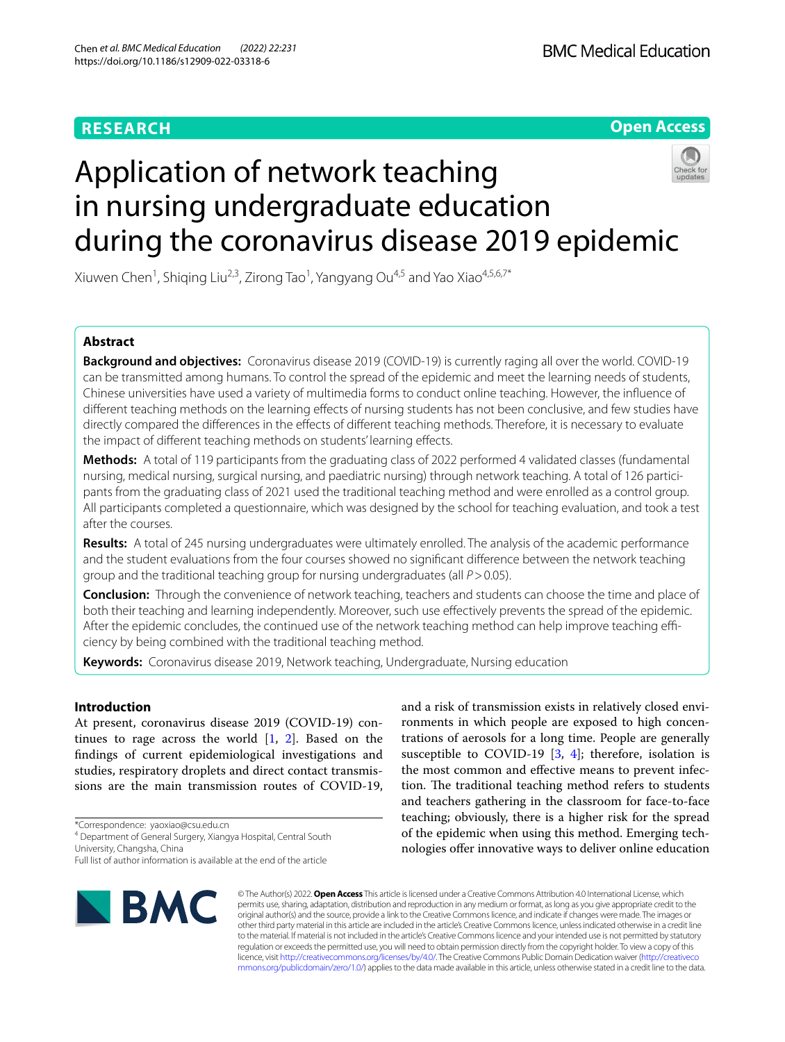## **RESEARCH**



# Application of network teaching in nursing undergraduate education during the coronavirus disease 2019 epidemic

Xiuwen Chen<sup>1</sup>, Shiqing Liu<sup>2,3</sup>, Zirong Tao<sup>1</sup>, Yangyang Ou<sup>4,5</sup> and Yao Xiao<sup>4,5,6,7\*</sup>

## **Abstract**

**Background and objectives:** Coronavirus disease 2019 (COVID-19) is currently raging all over the world. COVID-19 can be transmitted among humans. To control the spread of the epidemic and meet the learning needs of students, Chinese universities have used a variety of multimedia forms to conduct online teaching. However, the infuence of diferent teaching methods on the learning efects of nursing students has not been conclusive, and few studies have directly compared the diferences in the efects of diferent teaching methods. Therefore, it is necessary to evaluate the impact of diferent teaching methods on students' learning efects.

**Methods:** A total of 119 participants from the graduating class of 2022 performed 4 validated classes (fundamental nursing, medical nursing, surgical nursing, and paediatric nursing) through network teaching. A total of 126 participants from the graduating class of 2021 used the traditional teaching method and were enrolled as a control group. All participants completed a questionnaire, which was designed by the school for teaching evaluation, and took a test after the courses.

**Results:** A total of 245 nursing undergraduates were ultimately enrolled. The analysis of the academic performance and the student evaluations from the four courses showed no signifcant diference between the network teaching group and the traditional teaching group for nursing undergraduates (all *P*>0.05).

**Conclusion:** Through the convenience of network teaching, teachers and students can choose the time and place of both their teaching and learning independently. Moreover, such use efectively prevents the spread of the epidemic. After the epidemic concludes, the continued use of the network teaching method can help improve teaching efficiency by being combined with the traditional teaching method.

**Keywords:** Coronavirus disease 2019, Network teaching, Undergraduate, Nursing education

## **Introduction**

At present, coronavirus disease 2019 (COVID-19) continues to rage across the world  $[1, 2]$  $[1, 2]$  $[1, 2]$  $[1, 2]$ . Based on the fndings of current epidemiological investigations and studies, respiratory droplets and direct contact transmissions are the main transmission routes of COVID-19,

\*Correspondence: yaoxiao@csu.edu.cn

4 Department of General Surgery, Xiangya Hospital, Central South University, Changsha, China

Full list of author information is available at the end of the article



and a risk of transmission exists in relatively closed environments in which people are exposed to high concentrations of aerosols for a long time. People are generally susceptible to COVID-19  $[3, 4]$  $[3, 4]$  $[3, 4]$ ; therefore, isolation is the most common and efective means to prevent infection. The traditional teaching method refers to students and teachers gathering in the classroom for face-to-face teaching; obviously, there is a higher risk for the spread of the epidemic when using this method. Emerging technologies ofer innovative ways to deliver online education

© The Author(s) 2022. **Open Access** This article is licensed under a Creative Commons Attribution 4.0 International License, which permits use, sharing, adaptation, distribution and reproduction in any medium or format, as long as you give appropriate credit to the original author(s) and the source, provide a link to the Creative Commons licence, and indicate if changes were made. The images or other third party material in this article are included in the article's Creative Commons licence, unless indicated otherwise in a credit line to the material. If material is not included in the article's Creative Commons licence and your intended use is not permitted by statutory regulation or exceeds the permitted use, you will need to obtain permission directly from the copyright holder. To view a copy of this licence, visit [http://creativecommons.org/licenses/by/4.0/.](http://creativecommons.org/licenses/by/4.0/) The Creative Commons Public Domain Dedication waiver ([http://creativeco](http://creativecommons.org/publicdomain/zero/1.0/) [mmons.org/publicdomain/zero/1.0/](http://creativecommons.org/publicdomain/zero/1.0/)) applies to the data made available in this article, unless otherwise stated in a credit line to the data.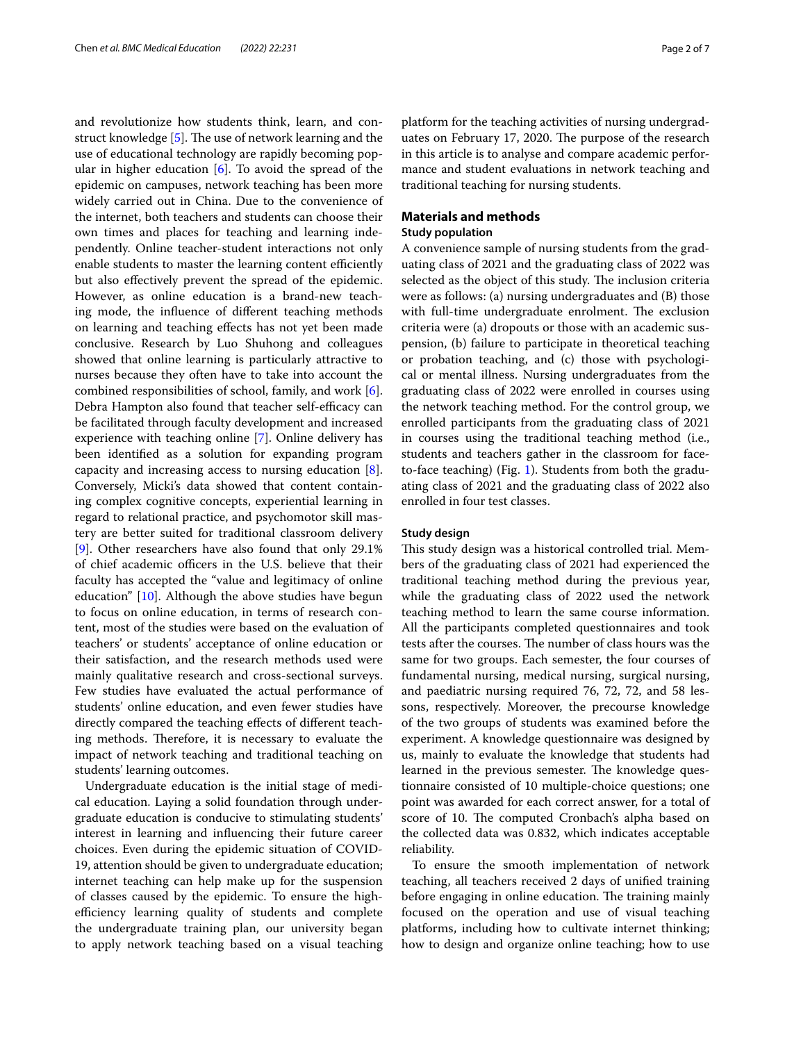and revolutionize how students think, learn, and construct knowledge  $[5]$  $[5]$ . The use of network learning and the use of educational technology are rapidly becoming popular in higher education  $[6]$  $[6]$ . To avoid the spread of the epidemic on campuses, network teaching has been more widely carried out in China. Due to the convenience of the internet, both teachers and students can choose their own times and places for teaching and learning independently. Online teacher-student interactions not only enable students to master the learning content efficiently but also efectively prevent the spread of the epidemic. However, as online education is a brand-new teaching mode, the infuence of diferent teaching methods on learning and teaching efects has not yet been made conclusive. Research by Luo Shuhong and colleagues showed that online learning is particularly attractive to nurses because they often have to take into account the combined responsibilities of school, family, and work [\[6](#page-6-5)]. Debra Hampton also found that teacher self-efficacy can be facilitated through faculty development and increased experience with teaching online [[7\]](#page-6-6). Online delivery has been identifed as a solution for expanding program capacity and increasing access to nursing education [\[8](#page-6-7)]. Conversely, Micki's data showed that content containing complex cognitive concepts, experiential learning in regard to relational practice, and psychomotor skill mastery are better suited for traditional classroom delivery [[9\]](#page-6-8). Other researchers have also found that only 29.1% of chief academic officers in the U.S. believe that their faculty has accepted the "value and legitimacy of online education"  $[10]$ . Although the above studies have begun to focus on online education, in terms of research content, most of the studies were based on the evaluation of teachers' or students' acceptance of online education or their satisfaction, and the research methods used were mainly qualitative research and cross-sectional surveys. Few studies have evaluated the actual performance of students' online education, and even fewer studies have directly compared the teaching efects of diferent teaching methods. Therefore, it is necessary to evaluate the impact of network teaching and traditional teaching on students' learning outcomes.

Undergraduate education is the initial stage of medical education. Laying a solid foundation through undergraduate education is conducive to stimulating students' interest in learning and infuencing their future career choices. Even during the epidemic situation of COVID-19, attention should be given to undergraduate education; internet teaching can help make up for the suspension of classes caused by the epidemic. To ensure the highefficiency learning quality of students and complete the undergraduate training plan, our university began to apply network teaching based on a visual teaching platform for the teaching activities of nursing undergraduates on February 17, 2020. The purpose of the research in this article is to analyse and compare academic performance and student evaluations in network teaching and traditional teaching for nursing students.

## **Materials and methods**

## **Study population**

A convenience sample of nursing students from the graduating class of 2021 and the graduating class of 2022 was selected as the object of this study. The inclusion criteria were as follows: (a) nursing undergraduates and (B) those with full-time undergraduate enrolment. The exclusion criteria were (a) dropouts or those with an academic suspension, (b) failure to participate in theoretical teaching or probation teaching, and (c) those with psychological or mental illness. Nursing undergraduates from the graduating class of 2022 were enrolled in courses using the network teaching method. For the control group, we enrolled participants from the graduating class of 2021 in courses using the traditional teaching method (i.e., students and teachers gather in the classroom for faceto-face teaching) (Fig. [1\)](#page-2-0). Students from both the graduating class of 2021 and the graduating class of 2022 also enrolled in four test classes.

### **Study design**

This study design was a historical controlled trial. Members of the graduating class of 2021 had experienced the traditional teaching method during the previous year, while the graduating class of 2022 used the network teaching method to learn the same course information. All the participants completed questionnaires and took tests after the courses. The number of class hours was the same for two groups. Each semester, the four courses of fundamental nursing, medical nursing, surgical nursing, and paediatric nursing required 76, 72, 72, and 58 lessons, respectively. Moreover, the precourse knowledge of the two groups of students was examined before the experiment. A knowledge questionnaire was designed by us, mainly to evaluate the knowledge that students had learned in the previous semester. The knowledge questionnaire consisted of 10 multiple-choice questions; one point was awarded for each correct answer, for a total of score of 10. The computed Cronbach's alpha based on the collected data was 0.832, which indicates acceptable reliability.

To ensure the smooth implementation of network teaching, all teachers received 2 days of unifed training before engaging in online education. The training mainly focused on the operation and use of visual teaching platforms, including how to cultivate internet thinking; how to design and organize online teaching; how to use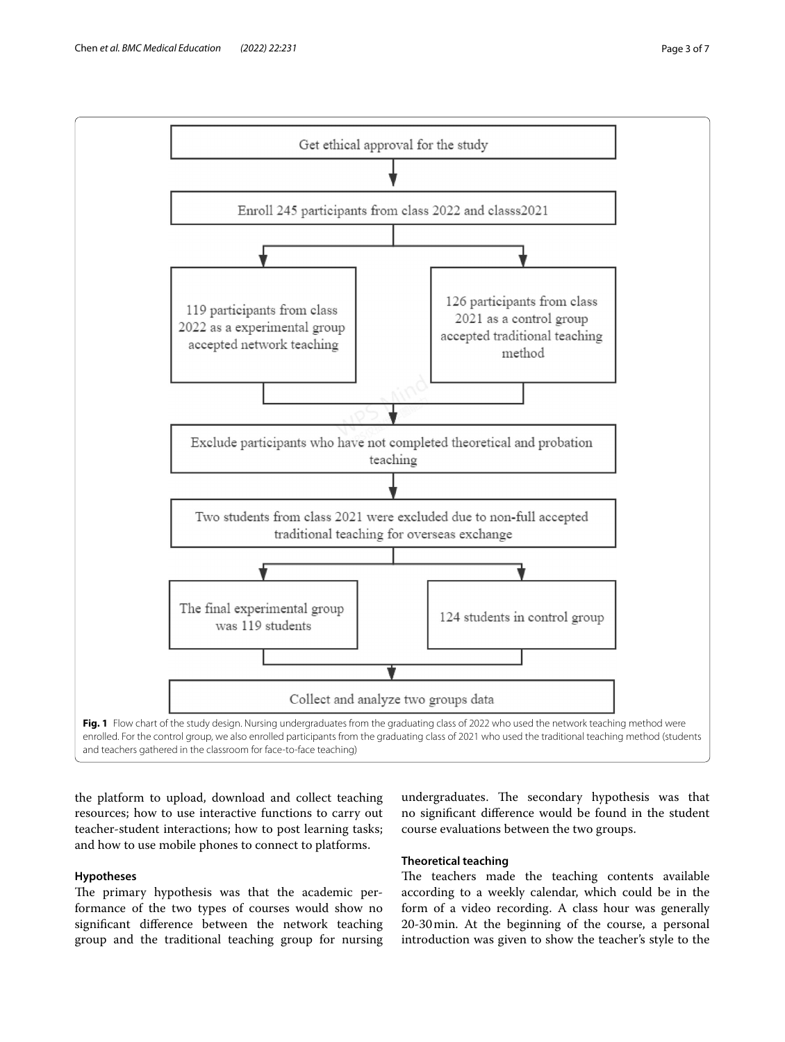

<span id="page-2-0"></span>the platform to upload, download and collect teaching resources; how to use interactive functions to carry out teacher-student interactions; how to post learning tasks; and how to use mobile phones to connect to platforms.

## **Hypotheses**

The primary hypothesis was that the academic performance of the two types of courses would show no signifcant diference between the network teaching group and the traditional teaching group for nursing

undergraduates. The secondary hypothesis was that no signifcant diference would be found in the student course evaluations between the two groups.

## **Theoretical teaching**

The teachers made the teaching contents available according to a weekly calendar, which could be in the form of a video recording. A class hour was generally 20-30min. At the beginning of the course, a personal introduction was given to show the teacher's style to the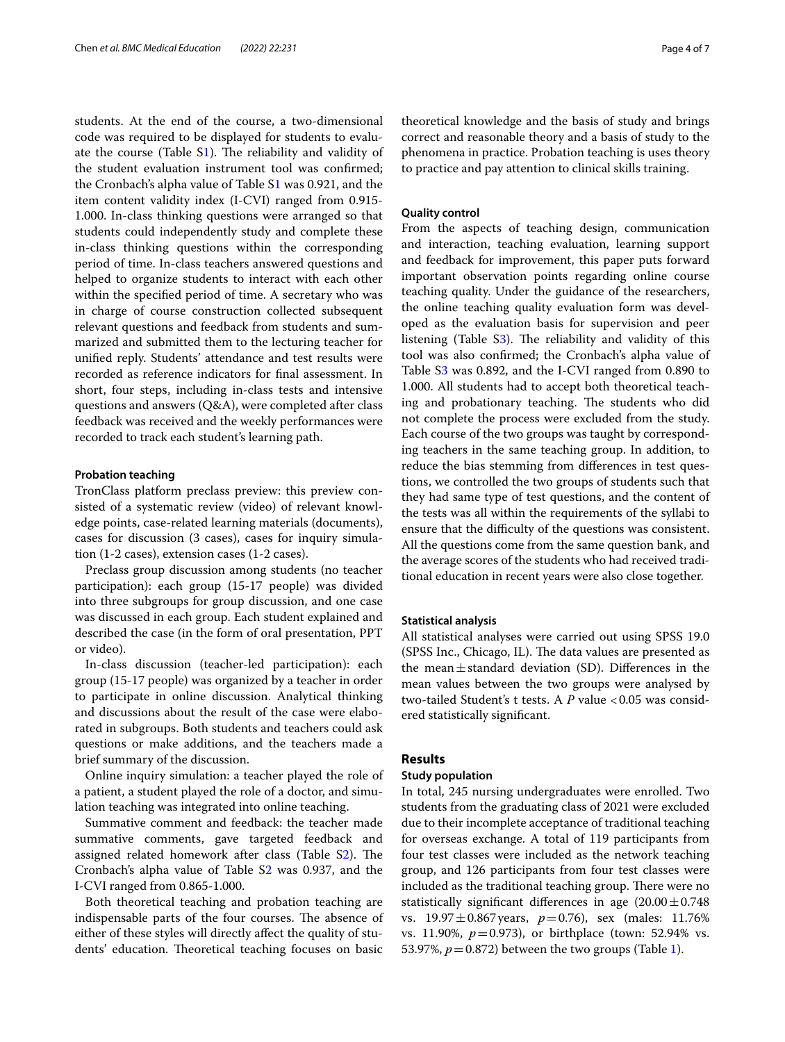students. At the end of the course, a two-dimensional code was required to be displayed for students to evaluate the course (Table  $S1$ ). The reliability and validity of the student evaluation instrument tool was confrmed; the Cronbach's alpha value of Table [S1](#page-6-10) was 0.921, and the item content validity index (I-CVI) ranged from 0.915- 1.000. In-class thinking questions were arranged so that students could independently study and complete these in-class thinking questions within the corresponding period of time. In-class teachers answered questions and helped to organize students to interact with each other within the specifed period of time. A secretary who was in charge of course construction collected subsequent relevant questions and feedback from students and summarized and submitted them to the lecturing teacher for unifed reply. Students' attendance and test results were recorded as reference indicators for fnal assessment. In short, four steps, including in-class tests and intensive questions and answers (Q&A), were completed after class feedback was received and the weekly performances were recorded to track each student's learning path.

#### **Probation teaching**

TronClass platform preclass preview: this preview consisted of a systematic review (video) of relevant knowledge points, case-related learning materials (documents), cases for discussion (3 cases), cases for inquiry simulation (1-2 cases), extension cases (1-2 cases).

Preclass group discussion among students (no teacher participation): each group (15-17 people) was divided into three subgroups for group discussion, and one case was discussed in each group. Each student explained and described the case (in the form of oral presentation, PPT or video).

In-class discussion (teacher-led participation): each group (15-17 people) was organized by a teacher in order to participate in online discussion. Analytical thinking and discussions about the result of the case were elaborated in subgroups. Both students and teachers could ask questions or make additions, and the teachers made a brief summary of the discussion.

Online inquiry simulation: a teacher played the role of a patient, a student played the role of a doctor, and simulation teaching was integrated into online teaching.

Summative comment and feedback: the teacher made summative comments, gave targeted feedback and assigned related homework after class (Table [S2](#page-6-11)). The Cronbach's alpha value of Table [S2](#page-6-11) was 0.937, and the I-CVI ranged from 0.865-1.000.

Both theoretical teaching and probation teaching are indispensable parts of the four courses. The absence of either of these styles will directly afect the quality of students' education. Theoretical teaching focuses on basic theoretical knowledge and the basis of study and brings correct and reasonable theory and a basis of study to the phenomena in practice. Probation teaching is uses theory to practice and pay attention to clinical skills training.

### **Quality control**

From the aspects of teaching design, communication and interaction, teaching evaluation, learning support and feedback for improvement, this paper puts forward important observation points regarding online course teaching quality. Under the guidance of the researchers, the online teaching quality evaluation form was developed as the evaluation basis for supervision and peer listening (Table  $S_3$ ). The reliability and validity of this tool was also confrmed; the Cronbach's alpha value of Table [S3](#page-6-12) was 0.892, and the I-CVI ranged from 0.890 to 1.000. All students had to accept both theoretical teaching and probationary teaching. The students who did not complete the process were excluded from the study. Each course of the two groups was taught by corresponding teachers in the same teaching group. In addition, to reduce the bias stemming from diferences in test questions, we controlled the two groups of students such that they had same type of test questions, and the content of the tests was all within the requirements of the syllabi to ensure that the difficulty of the questions was consistent. All the questions come from the same question bank, and the average scores of the students who had received traditional education in recent years were also close together.

#### **Statistical analysis**

All statistical analyses were carried out using SPSS 19.0 (SPSS Inc., Chicago, IL). The data values are presented as the mean $\pm$ standard deviation (SD). Differences in the mean values between the two groups were analysed by two-tailed Student's t tests. A *P* value <0.05 was considered statistically signifcant.

## **Results**

## **Study population**

In total, 245 nursing undergraduates were enrolled. Two students from the graduating class of 2021 were excluded due to their incomplete acceptance of traditional teaching for overseas exchange. A total of 119 participants from four test classes were included as the network teaching group, and 126 participants from four test classes were included as the traditional teaching group. There were no statistically significant differences in age  $(20.00 \pm 0.748)$ vs. 19.97±0.867years, *p*=0.76), sex (males: 11.76% vs. 11.90%, *p*=0.973), or birthplace (town: 52.94% vs. 53.97%,  $p = 0.872$ ) between the two groups (Table [1\)](#page-4-0).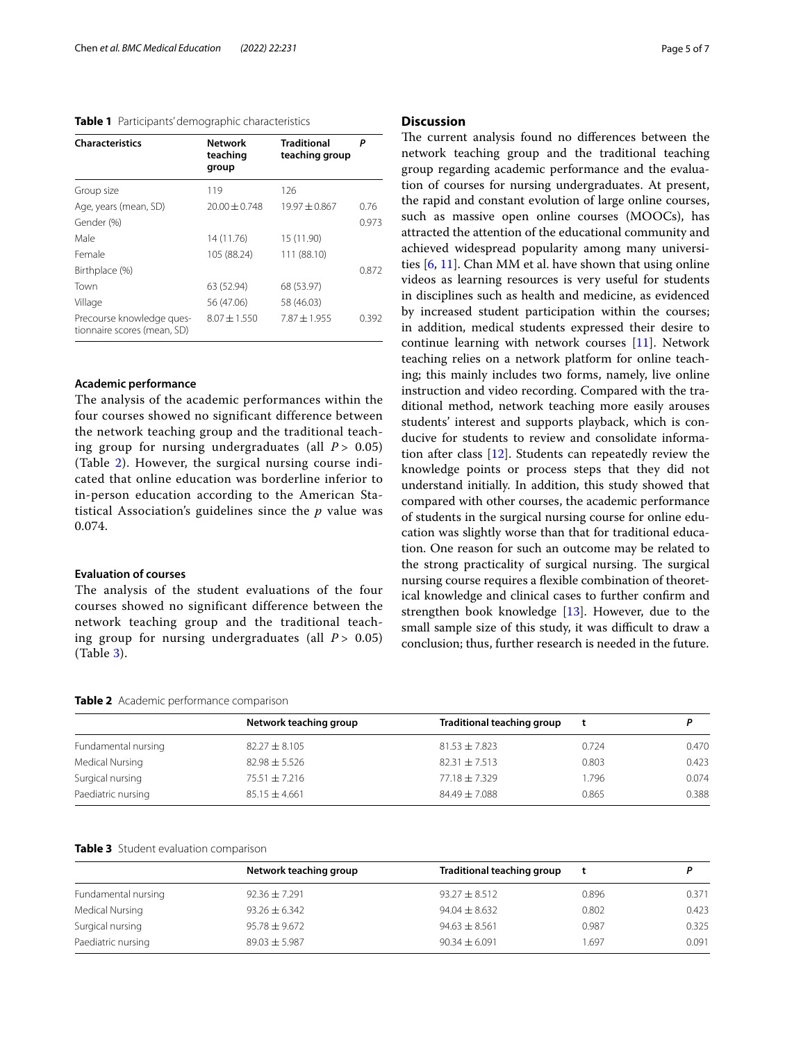## <span id="page-4-0"></span>**Table 1** Participants' demographic characteristics

| <b>Characteristics</b>                                   | Network<br>teaching<br>group | <b>Traditional</b><br>teaching group | Р     |
|----------------------------------------------------------|------------------------------|--------------------------------------|-------|
| Group size                                               | 119                          | 126                                  |       |
| Age, years (mean, SD)                                    | $20.00 + 0.748$              | $19.97 + 0.867$                      | 0.76  |
| Gender (%)                                               |                              |                                      | 0.973 |
| Male                                                     | 14 (11.76)                   | 15 (11.90)                           |       |
| Female                                                   | 105 (88.24)                  | 111 (88.10)                          |       |
| Birthplace (%)                                           |                              |                                      | 0.872 |
| Town                                                     | 63 (52.94)                   | 68 (53.97)                           |       |
| Village                                                  | 56 (47.06)                   | 58 (46.03)                           |       |
| Precourse knowledge ques-<br>tionnaire scores (mean, SD) | $8.07 + 1.550$               | $7.87 + 1.955$                       | 0.392 |

#### **Academic performance**

The analysis of the academic performances within the four courses showed no significant difference between the network teaching group and the traditional teaching group for nursing undergraduates (all *P >* 0.05) (Table [2\)](#page-4-1). However, the surgical nursing course indicated that online education was borderline inferior to in-person education according to the American Statistical Association's guidelines since the *p* value was 0.074.

## **Evaluation of courses**

The analysis of the student evaluations of the four courses showed no significant difference between the network teaching group and the traditional teaching group for nursing undergraduates (all  $P > 0.05$ ) (Table [3](#page-4-2)).

#### <span id="page-4-1"></span>**Table 2** Academic performance comparison

| Page 5 of |  |  |  |
|-----------|--|--|--|
|-----------|--|--|--|

#### **Discussion**

The current analysis found no differences between the network teaching group and the traditional teaching group regarding academic performance and the evaluation of courses for nursing undergraduates. At present, the rapid and constant evolution of large online courses, such as massive open online courses (MOOCs), has attracted the attention of the educational community and achieved widespread popularity among many universities [[6,](#page-6-5) [11](#page-6-13)]. Chan MM et al. have shown that using online videos as learning resources is very useful for students in disciplines such as health and medicine, as evidenced by increased student participation within the courses; in addition, medical students expressed their desire to continue learning with network courses [[11\]](#page-6-13). Network teaching relies on a network platform for online teaching; this mainly includes two forms, namely, live online instruction and video recording. Compared with the traditional method, network teaching more easily arouses students' interest and supports playback, which is conducive for students to review and consolidate information after class [[12\]](#page-6-14). Students can repeatedly review the knowledge points or process steps that they did not understand initially. In addition, this study showed that compared with other courses, the academic performance of students in the surgical nursing course for online education was slightly worse than that for traditional education. One reason for such an outcome may be related to the strong practicality of surgical nursing. The surgical nursing course requires a fexible combination of theoretical knowledge and clinical cases to further confrm and strengthen book knowledge [\[13](#page-6-15)]. However, due to the small sample size of this study, it was difficult to draw a conclusion; thus, further research is needed in the future.

|                     | Network teaching group | Traditional teaching group |       |       |  |
|---------------------|------------------------|----------------------------|-------|-------|--|
| Fundamental nursing | $82.27 \pm 8.105$      | $81.53 \pm 7.823$          | 0.724 | 0.470 |  |
| Medical Nursing     | $82.98 + 5.526$        | $82.31 \pm 7.513$          | 0.803 | 0.423 |  |
| Surgical nursing    | $75.51 \pm 7.216$      | $77.18 \pm 7.329$          | 1.796 | 0.074 |  |
| Paediatric nursing  | $85.15 \pm 4.661$      | $84.49 \pm 7.088$          | 0.865 | 0.388 |  |

## <span id="page-4-2"></span>**Table 3** Student evaluation comparison

|                     | Network teaching group | Traditional teaching group |       |       |
|---------------------|------------------------|----------------------------|-------|-------|
| Fundamental nursing | $92.36 \pm 7.291$      | $93.27 \pm 8.512$          | 0.896 | 0.371 |
| Medical Nursing     | $93.26 \pm 6.342$      | $94.04 \pm 8.632$          | 0.802 | 0.423 |
| Surgical nursing    | $95.78 \pm 9.672$      | $94.63 \pm 8.561$          | 0.987 | 0.325 |
| Paediatric nursing  | $89.03 \pm 5.987$      | $90.34 \pm 6.091$          | 1.697 | 0.091 |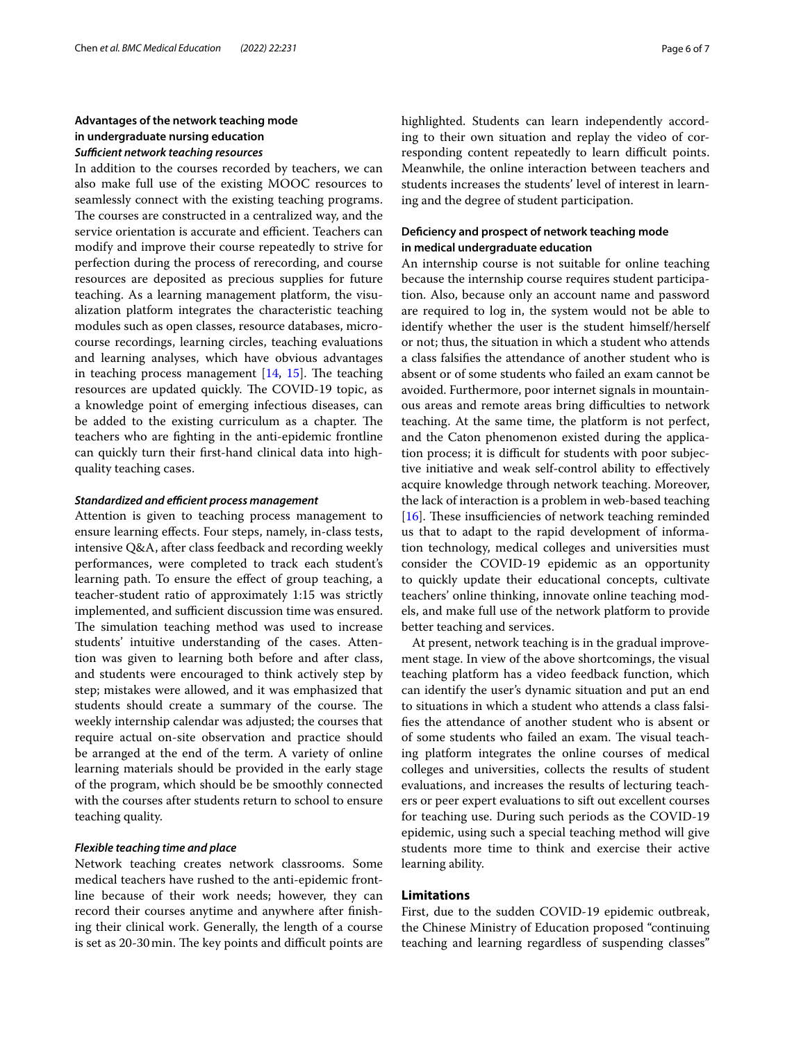## **Advantages of the network teaching mode in undergraduate nursing education** *Sufcient network teaching resources*

In addition to the courses recorded by teachers, we can also make full use of the existing MOOC resources to seamlessly connect with the existing teaching programs. The courses are constructed in a centralized way, and the service orientation is accurate and efficient. Teachers can modify and improve their course repeatedly to strive for perfection during the process of rerecording, and course resources are deposited as precious supplies for future teaching. As a learning management platform, the visualization platform integrates the characteristic teaching modules such as open classes, resource databases, microcourse recordings, learning circles, teaching evaluations and learning analyses, which have obvious advantages in teaching process management  $[14, 15]$  $[14, 15]$  $[14, 15]$  $[14, 15]$  $[14, 15]$ . The teaching resources are updated quickly. The COVID-19 topic, as a knowledge point of emerging infectious diseases, can be added to the existing curriculum as a chapter. The teachers who are fghting in the anti-epidemic frontline can quickly turn their frst-hand clinical data into highquality teaching cases.

## **Standardized and efficient process management**

Attention is given to teaching process management to ensure learning efects. Four steps, namely, in-class tests, intensive Q&A, after class feedback and recording weekly performances, were completed to track each student's learning path. To ensure the effect of group teaching, a teacher-student ratio of approximately 1:15 was strictly implemented, and sufficient discussion time was ensured. The simulation teaching method was used to increase students' intuitive understanding of the cases. Attention was given to learning both before and after class, and students were encouraged to think actively step by step; mistakes were allowed, and it was emphasized that students should create a summary of the course. The weekly internship calendar was adjusted; the courses that require actual on-site observation and practice should be arranged at the end of the term. A variety of online learning materials should be provided in the early stage of the program, which should be be smoothly connected with the courses after students return to school to ensure teaching quality.

## *Flexible teaching time and place*

Network teaching creates network classrooms. Some medical teachers have rushed to the anti-epidemic frontline because of their work needs; however, they can record their courses anytime and anywhere after fnishing their clinical work. Generally, the length of a course is set as 20-30 min. The key points and difficult points are highlighted. Students can learn independently according to their own situation and replay the video of corresponding content repeatedly to learn difficult points. Meanwhile, the online interaction between teachers and students increases the students' level of interest in learning and the degree of student participation.

## **Defciency and prospect of network teaching mode in medical undergraduate education**

An internship course is not suitable for online teaching because the internship course requires student participation. Also, because only an account name and password are required to log in, the system would not be able to identify whether the user is the student himself/herself or not; thus, the situation in which a student who attends a class falsifes the attendance of another student who is absent or of some students who failed an exam cannot be avoided. Furthermore, poor internet signals in mountainous areas and remote areas bring difficulties to network teaching. At the same time, the platform is not perfect, and the Caton phenomenon existed during the application process; it is difficult for students with poor subjective initiative and weak self-control ability to efectively acquire knowledge through network teaching. Moreover, the lack of interaction is a problem in web-based teaching [ $16$ ]. These insufficiencies of network teaching reminded us that to adapt to the rapid development of information technology, medical colleges and universities must consider the COVID-19 epidemic as an opportunity to quickly update their educational concepts, cultivate teachers' online thinking, innovate online teaching models, and make full use of the network platform to provide better teaching and services.

At present, network teaching is in the gradual improvement stage. In view of the above shortcomings, the visual teaching platform has a video feedback function, which can identify the user's dynamic situation and put an end to situations in which a student who attends a class falsifes the attendance of another student who is absent or of some students who failed an exam. The visual teaching platform integrates the online courses of medical colleges and universities, collects the results of student evaluations, and increases the results of lecturing teachers or peer expert evaluations to sift out excellent courses for teaching use. During such periods as the COVID-19 epidemic, using such a special teaching method will give students more time to think and exercise their active learning ability.

#### **Limitations**

First, due to the sudden COVID-19 epidemic outbreak, the Chinese Ministry of Education proposed "continuing teaching and learning regardless of suspending classes"